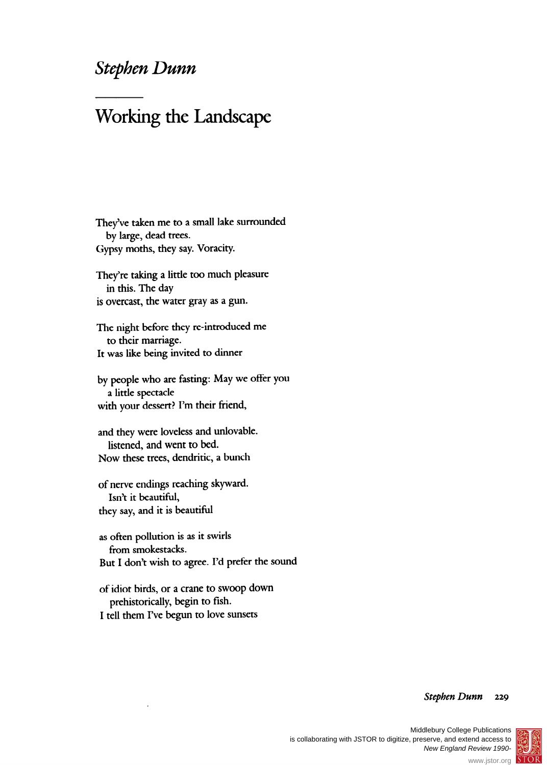## **Stephen Dunn**

## **Working the Landscape**

**They've taken me to a small lake surrounded by large, dead trees. Gypsy moths, they say. Voracity.** 

**They're taking a little too much pleasure in this. The day is overcast, the water gray as a gun.** 

**The night before they re-introduced me to their marriage. It was like being invited to dinner** 

**by people who are fasting: May we offer you a little spectacle with your dessert? I'm their friend,** 

**and they were loveless and unlovable. listened, and went to bed. Now these trees, dendritic, a bunch** 

**of nerve endings reaching skyward. Isn't it beautiful, they say, and it is beautiful** 

**as often pollution is as it swirls from smokestacks. But I don't wish to agree. I'd prefer the sound** 

**of idiot birds, or a crane to swoop down prehistorically, begin to fish. I tell them I've begun to love sunsets** 

## **Stephen Dunn 229**



®